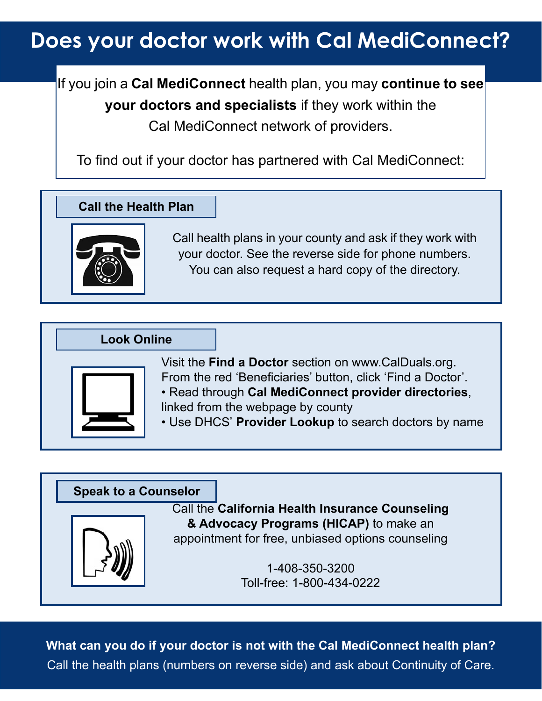## **Does your doctor work with Cal MediConnect?**

If you join a **Cal MediConnect** health plan, you may **continue to see your doctors and specialists** if they work within the Cal MediConnect network of providers.

To find out if your doctor has partnered with Cal MediConnect:

**Call the Health Plan**



Call health plans in your county and ask if they work with your doctor. See the reverse side for phone numbers. You can also request a hard copy of the directory.



#### Call the **California Health Insurance Counseling & Advocacy Programs (HICAP)** to make an appointment for free, unbiased options counseling 1-408-350-3200 Toll-free: 1-800-434-0222 **Speak to a Counselor**

**What can you do if your doctor is not with the Cal MediConnect health plan?**  Call the health plans (numbers on reverse side) and ask about Continuity of Care.